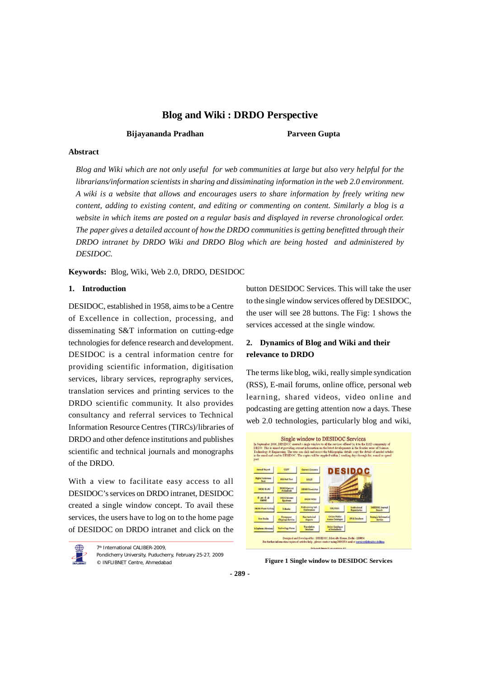# **Bijayananda Pradhan Parveen Gupta**

# **Abstract**

*Blog and Wiki which are not only useful for web communities at large but also very helpful for the librarians/information scientists in sharing and dissiminating information in the web 2.0 environment. A wiki is a website that allows and encourages users to share information by freely writing new content, adding to existing content, and editing or commenting on content. Similarly a blog is a website in which items are posted on a regular basis and displayed in reverse chronological order. The paper gives a detailed account of how the DRDO communities is getting benefitted through their DRDO intranet by DRDO Wiki and DRDO Blog which are being hosted and administered by DESIDOC.*

**Keywords:** Blog, Wiki, Web 2.0, DRDO, DESIDOC

## **1. Introduction**

DESIDOC, established in 1958, aims to be a Centre of Excellence in collection, processing, and disseminating S&T information on cutting-edge technologies for defence research and development. DESIDOC is a central information centre for providing scientific information, digitisation services, library services, reprography services, translation services and printing services to the DRDO scientific community. It also provides consultancy and referral services to Technical Information Resource Centres (TIRCs)/libraries of DRDO and other defence institutions and publishes scientific and technical journals and monographs of the DRDO.

With a view to facilitate easy access to all DESIDOC's services on DRDO intranet, DESIDOC created a single window concept. To avail these services, the users have to log on to the home page of DESIDOC on DRDO intranet and click on the

7<sup>th</sup> International CALIBER-2009, Pondicherry University, Puducherry, February 25-27, 2009 © INFLIBNET Centre, Ahmedabad **Figure 1 Single window to DESIDOC Services**

button DESIDOC Services. This will take the user to the single window services offered by DESIDOC, the user will see 28 buttons. The Fig: 1 shows the services accessed at the single window.

# **2. Dynamics of Blog and Wiki and their relevance to DRDO**

The terms like blog, wiki, really simple syndication (RSS), E-mail forums, online office, personal web learning, shared videos, video online and podcasting are getting attention now a days. These web 2.0 technologies, particularly blog and wiki,



**- 289 -**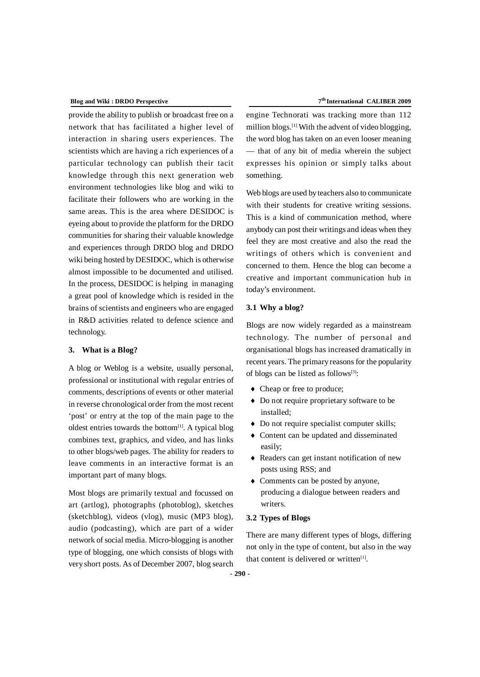provide the ability to publish or broadcast free on a network that has facilitated a higher level of interaction in sharing users experiences. The scientists which are having a rich experiences of a particular technology can publish their tacit knowledge through this next generation web environment technologies like blog and wiki to facilitate their followers who are working in the same areas. This is the area where DESIDOC is eyeing about to provide the platform for the DRDO communities for sharing their valuable knowledge and experiences through DRDO blog and DRDO wiki being hosted by DESIDOC, which is otherwise almost impossible to be documented and utilised. In the process, DESIDOC is helping in managing a great pool of knowledge which is resided in the brains of scientists and engineers who are engaged in R&D activities related to defence science and technology.

# **3. What is a Blog?**

A blog or Weblog is a website, usually personal, professional or institutional with regular entries of comments, descriptions of events or other material in reverse chronological order from the most recent 'post' or entry at the top of the main page to the oldest entries towards the bottom $[1]$ . A typical blog combines text, graphics, and video, and has links to other blogs/web pages. The ability for readers to leave comments in an interactive format is an important part of many blogs.

Most blogs are primarily textual and focussed on art (artlog), photographs (photoblog), sketches (sketchblog), videos (vlog), music (MP3 blog), audio (podcasting), which are part of a wider network of social media. Micro-blogging is another type of blogging, one which consists of blogs with very short posts. As of December 2007, blog search

#### **th International CALIBER 2009**

engine Technorati was tracking more than 112 million blogs.[1] With the advent of video blogging, the word blog has taken on an even looser meaning — that of any bit of media wherein the subject expresses his opinion or simply talks about something.

Web blogs are used by teachers also to communicate with their students for creative writing sessions. This is a kind of communication method, where anybody can post their writings and ideas when they feel they are most creative and also the read the writings of others which is convenient and concerned to them. Hence the blog can become a creative and important communication hub in today's environment.

# **3.1 Why a blog?**

Blogs are now widely regarded as a mainstream technology. The number of personal and organisational blogs has increased dramatically in recent years. The primary reasons for the popularity of blogs can be listed as follows[3]:

- Cheap or free to produce;
- Do not require proprietary software to be installed;
- Do not require specialist computer skills;
- Content can be updated and disseminated easily;
- Readers can get instant notification of new posts using RSS; and
- Comments can be posted by anyone, producing a dialogue between readers and writers.

## **3.2 Types of Blogs**

There are many different types of blogs, differing not only in the type of content, but also in the way that content is delivered or written $[1]$ .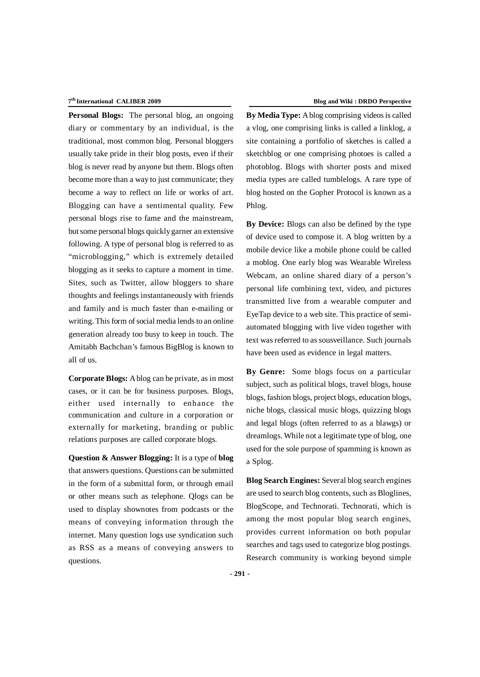#### 7<sup>th</sup> International CALIBER 2009

**Personal Blogs:** The personal blog, an ongoing diary or commentary by an individual, is the traditional, most common blog. Personal bloggers usually take pride in their blog posts, even if their blog is never read by anyone but them. Blogs often become more than a way to just communicate; they become a way to reflect on life or works of art. Blogging can have a sentimental quality. Few personal blogs rise to fame and the mainstream, but some personal blogs quickly garner an extensive following. A type of personal blog is referred to as "microblogging," which is extremely detailed blogging as it seeks to capture a moment in time. Sites, such as Twitter, allow bloggers to share thoughts and feelings instantaneously with friends and family and is much faster than e-mailing or writing. This form of social media lends to an online generation already too busy to keep in touch. The Amitabh Bachchan's famous BigBlog is known to all of us.

**Corporate Blogs:** A blog can be private, as in most cases, or it can be for business purposes. Blogs, either used internally to enhance the communication and culture in a corporation or externally for marketing, branding or public relations purposes are called corporate blogs.

**Question & Answer Blogging:** It is a type of **blog** that answers questions. Questions can be submitted in the form of a submittal form, or through email or other means such as telephone. Qlogs can be used to display shownotes from podcasts or the means of conveying information through the internet. Many question logs use syndication such as RSS as a means of conveying answers to questions.

**By Media Type:** A blog comprising videos is called a vlog, one comprising links is called a linklog, a site containing a portfolio of sketches is called a sketchblog or one comprising photoes is called a photoblog. Blogs with shorter posts and mixed media types are called tumblelogs. A rare type of blog hosted on the Gopher Protocol is known as a Phlog.

**By Device:** Blogs can also be defined by the type of device used to compose it. A blog written by a mobile device like a mobile phone could be called a moblog. One early blog was Wearable Wireless Webcam, an online shared diary of a person's personal life combining text, video, and pictures transmitted live from a wearable computer and EyeTap device to a web site. This practice of semiautomated blogging with live video together with text was referred to as sousveillance. Such journals have been used as evidence in legal matters.

**By Genre:** Some blogs focus on a particular subject, such as political blogs, travel blogs, house blogs, fashion blogs, project blogs, education blogs, niche blogs, classical music blogs, quizzing blogs and legal blogs (often referred to as a blawgs) or dreamlogs. While not a legitimate type of blog, one used for the sole purpose of spamming is known as a Splog.

**Blog Search Engines:** Several blog search engines are used to search blog contents, such as Bloglines, BlogScope, and Technorati. Technorati, which is among the most popular blog search engines, provides current information on both popular searches and tags used to categorize blog postings. Research community is working beyond simple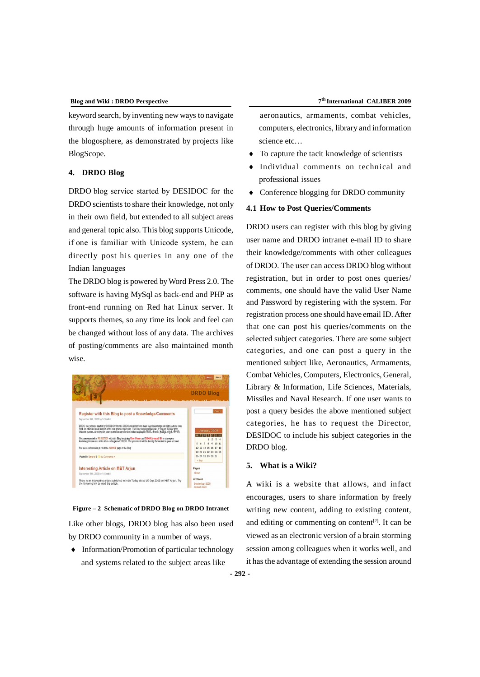keyword search, by inventing new ways to navigate through huge amounts of information present in the blogosphere, as demonstrated by projects like BlogScope.

# **4. DRDO Blog**

DRDO blog service started by DESIDOC for the DRDO scientists to share their knowledge, not only in their own field, but extended to all subject areas and general topic also. This blog supports Unicode, if one is familiar with Unicode system, he can directly post his queries in any one of the Indian languages

The DRDO blog is powered by Word Press 2.0. The software is having MySql as back-end and PHP as front-end running on Red hat Linux server. It supports themes, so any time its look and feel can be changed without loss of any data. The archives of posting/comments are also maintained month wise.



#### **Figure – 2 Schematic of DRDO Blog on DRDO Intranet**

Like other blogs, DRDO blog has also been used by DRDO community in a number of ways.

 $\bullet$  Information/Promotion of particular technology and systems related to the subject areas like

aeronautics, armaments, combat vehicles, computers, electronics, library and information science etc…

- To capture the tacit knowledge of scientists
- Individual comments on technical and professional issues
- Conference blogging for DRDO community

# **4.1 How to Post Queries/Comments**

DRDO users can register with this blog by giving user name and DRDO intranet e-mail ID to share their knowledge/comments with other colleagues of DRDO. The user can access DRDO blog without registration, but in order to post ones queries/ comments, one should have the valid User Name and Password by registering with the system. For registration process one should have email ID. After that one can post his queries/comments on the selected subject categories. There are some subject categories, and one can post a query in the mentioned subject like, Aeronautics, Armaments, Combat Vehicles, Computers, Electronics, General, Library & Information, Life Sciences, Materials, Missiles and Naval Research. If one user wants to post a query besides the above mentioned subject categories, he has to request the Director, DESIDOC to include his subject categories in the DRDO blog.

### **5. What is a Wiki?**

A wiki is a website that allows, and infact encourages, users to share information by freely writing new content, adding to existing content, and editing or commenting on content $[2]$ . It can be viewed as an electronic version of a brain storming session among colleagues when it works well, and it has the advantage of extending the session around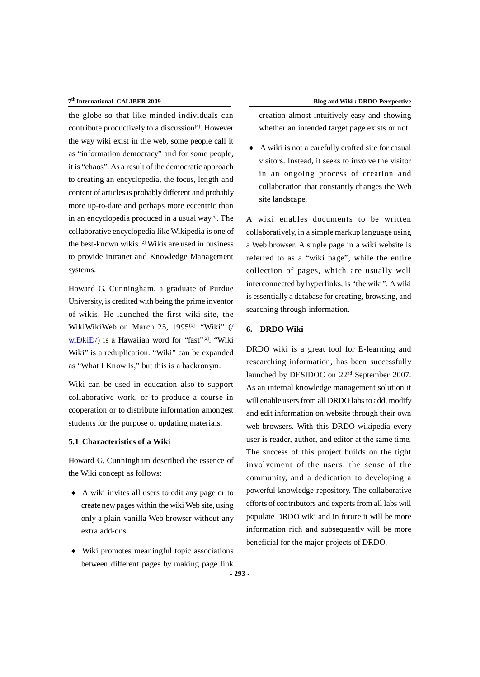#### 7<sup>th</sup> International CALIBER 2009

the globe so that like minded individuals can contribute productively to a discussion $[4]$ . However the way wiki exist in the web, some people call it as "information democracy" and for some people, it is "chaos". As a result of the democratic approach to creating an encyclopedia, the focus, length and content of articles is probably different and probably more up-to-date and perhaps more eccentric than in an encyclopedia produced in a usual way $[5]$ . The collaborative encyclopedia like Wikipedia is one of the best-known wikis.[2] Wikis are used in business to provide intranet and Knowledge Management systems.

Howard G. Cunningham, a graduate of Purdue University, is credited with being the prime inventor of wikis. He launched the first wiki site, the WikiWikiWeb on March 25, 1995<sup>[5]</sup>. "Wiki"  $($ wiĐkiĐ/) is a Hawaiian word for "fast"<sup>[2]</sup>. "Wiki Wiki" is a reduplication. "Wiki" can be expanded as "What I Know Is," but this is a backronym.

Wiki can be used in education also to support collaborative work, or to produce a course in cooperation or to distribute information amongest students for the purpose of updating materials.

# **5.1 Characteristics of a Wiki**

Howard G. Cunningham described the essence of the Wiki concept as follows:

- A wiki invites all users to edit any page or to create new pages within the wiki Web site, using only a plain-vanilla Web browser without any extra add-ons.
- Wiki promotes meaningful topic associations between different pages by making page link

creation almost intuitively easy and showing whether an intended target page exists or not.

 A wiki is not a carefully crafted site for casual visitors. Instead, it seeks to involve the visitor in an ongoing process of creation and collaboration that constantly changes the Web site landscape.

A wiki enables documents to be written collaboratively, in a simple markup language using a Web browser. A single page in a wiki website is referred to as a "wiki page", while the entire collection of pages, which are usually well interconnected by hyperlinks, is "the wiki". A wiki is essentially a database for creating, browsing, and searching through information.

#### **6. DRDO Wiki**

DRDO wiki is a great tool for E-learning and researching information, has been successfully launched by DESIDOC on 22nd September 2007. As an internal knowledge management solution it will enable users from all DRDO labs to add, modify and edit information on website through their own web browsers. With this DRDO wikipedia every user is reader, author, and editor at the same time. The success of this project builds on the tight involvement of the users, the sense of the community, and a dedication to developing a powerful knowledge repository. The collaborative efforts of contributors and experts from all labs will populate DRDO wiki and in future it will be more information rich and subsequently will be more beneficial for the major projects of DRDO.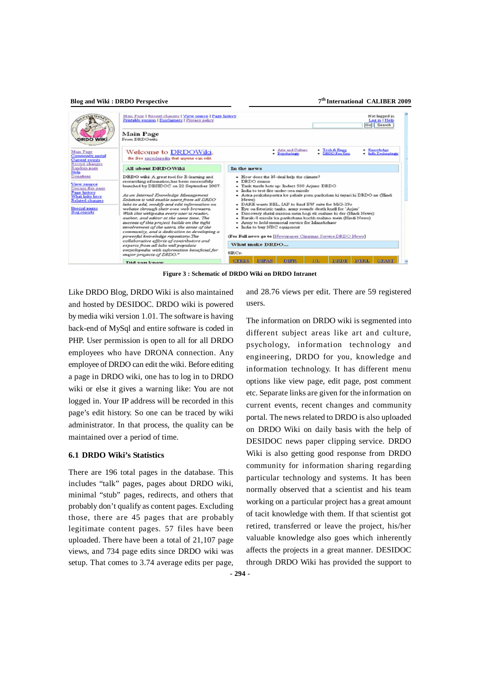**th International CALIBER 2009**

| <b>DRDO WIKI</b>                                                                                                                                                                                                                       | Main Page   Recent changes   View source   Page history<br>Printable version   Disclaimers   Privacy policy<br>Main Page<br>From DRDOwiki                                                                                                                                                                                                                                                                                                                                                                                                                                                                                                                                                                                                                           | Not logged in<br>Log in   Help<br>Go Search                                                                                                                                                                                                                                                                                                                                                                                                                                                                                                                                                                                                                                                                                                                                                |
|----------------------------------------------------------------------------------------------------------------------------------------------------------------------------------------------------------------------------------------|---------------------------------------------------------------------------------------------------------------------------------------------------------------------------------------------------------------------------------------------------------------------------------------------------------------------------------------------------------------------------------------------------------------------------------------------------------------------------------------------------------------------------------------------------------------------------------------------------------------------------------------------------------------------------------------------------------------------------------------------------------------------|--------------------------------------------------------------------------------------------------------------------------------------------------------------------------------------------------------------------------------------------------------------------------------------------------------------------------------------------------------------------------------------------------------------------------------------------------------------------------------------------------------------------------------------------------------------------------------------------------------------------------------------------------------------------------------------------------------------------------------------------------------------------------------------------|
| Main Page<br>Community portal<br>Current events<br>Recent changes<br>Random page<br>Help<br>Donations<br>View source<br>Discuss this page<br>Page history<br>What links here<br>Related changes<br>Special pages<br><b>Bug reports</b> | Welcome to DRDOWiki.<br>the free encyclopedia that anyone can edit.                                                                                                                                                                                                                                                                                                                                                                                                                                                                                                                                                                                                                                                                                                 | Arts and Culture<br>- Tech & Engg<br>Knowledge<br><b>DRDO For You</b><br>Info Technology<br>- Psychology                                                                                                                                                                                                                                                                                                                                                                                                                                                                                                                                                                                                                                                                                   |
|                                                                                                                                                                                                                                        | <b>All about DRDOWiki</b>                                                                                                                                                                                                                                                                                                                                                                                                                                                                                                                                                                                                                                                                                                                                           | In the news                                                                                                                                                                                                                                                                                                                                                                                                                                                                                                                                                                                                                                                                                                                                                                                |
|                                                                                                                                                                                                                                        | DRDO wiki: A great tool for E-learning and<br>researching information has been successfully<br>launched by DESIDOC on 22 September 2007.<br>As an Internal Knowledge Management<br>Solution it will enable users from all DRDO<br>labs to add, modify and edit information on<br>website through their own web browsers.<br>With this wikipedia every user is reader,<br>author, and editor at the came time, The<br>success of this project builds on the tight<br>involvement of the users, the sense of the<br>community, and a dedication to developing a<br>powerful knowledge repository. The<br>collaborative efforts of contributors and<br>experts from all labs will populate<br>encyclopedia with information beneficial for<br>major projects of DRDO." | • How does the N-deal help the climate?<br>• DRDO estams<br>· Tank tussle hots up: Induct 500 Arjuns: DRDO<br>· India to test-fire under-sea missile<br>· Astra prakshepastra ke pahale pum parikshan ki tayari ki DRDO ne (Hindi,<br>News)<br>• DARE wants BEL, IAF to fund EW suite for MiG-29s<br>· Eye on futuristic tanks, army sounds death knell for 'Arjun'<br>· Discovery shatal mission mein hogi ek mahine ki der (Hindi News)<br>· Barak-8 missile ka parikshana kuchh mahino mein (Hindi News)<br>· Army to hold memorial service for Manekshaw<br>• India to buy NBC compenent<br>(For Full news go to Newspaper Chopings Service DRDO News)<br>What make DRDO<br>SRCs:<br><b>THE</b><br><b>DTRL</b><br><b>DIPAS</b><br><b>DIPR</b><br>DRDE<br><b>GEAST</b><br><b>CITERS</b> |
|                                                                                                                                                                                                                                        | <b>Did van know</b>                                                                                                                                                                                                                                                                                                                                                                                                                                                                                                                                                                                                                                                                                                                                                 |                                                                                                                                                                                                                                                                                                                                                                                                                                                                                                                                                                                                                                                                                                                                                                                            |

**Figure 3 : Schematic of DRDO Wiki on DRDO Intranet**

Like DRDO Blog, DRDO Wiki is also maintained and hosted by DESIDOC. DRDO wiki is powered by media wiki version 1.01. The software is having back-end of MySql and entire software is coded in PHP. User permission is open to all for all DRDO employees who have DRONA connection. Any employee of DRDO can edit the wiki. Before editing a page in DRDO wiki, one has to log in to DRDO wiki or else it gives a warning like: You are not logged in. Your IP address will be recorded in this page's edit history. So one can be traced by wiki administrator. In that process, the quality can be maintained over a period of time.

# **6.1 DRDO Wiki's Statistics**

There are 196 total pages in the database. This includes "talk" pages, pages about DRDO wiki, minimal "stub" pages, redirects, and others that probably don't qualify as content pages. Excluding those, there are 45 pages that are probably legitimate content pages. 57 files have been uploaded. There have been a total of 21,107 page views, and 734 page edits since DRDO wiki was setup. That comes to 3.74 average edits per page,

and 28.76 views per edit. There are 59 registered users.

The information on DRDO wiki is segmented into different subject areas like art and culture, psychology, information technology and engineering, DRDO for you, knowledge and information technology. It has different menu options like view page, edit page, post comment etc. Separate links are given for the information on current events, recent changes and community portal. The news related to DRDO is also uploaded on DRDO Wiki on daily basis with the help of DESIDOC news paper clipping service. DRDO Wiki is also getting good response from DRDO community for information sharing regarding particular technology and systems. It has been normally observed that a scientist and his team working on a particular project has a great amount of tacit knowledge with them. If that scientist got retired, transferred or leave the project, his/her valuable knowledge also goes which inherently affects the projects in a great manner. DESIDOC through DRDO Wiki has provided the support to